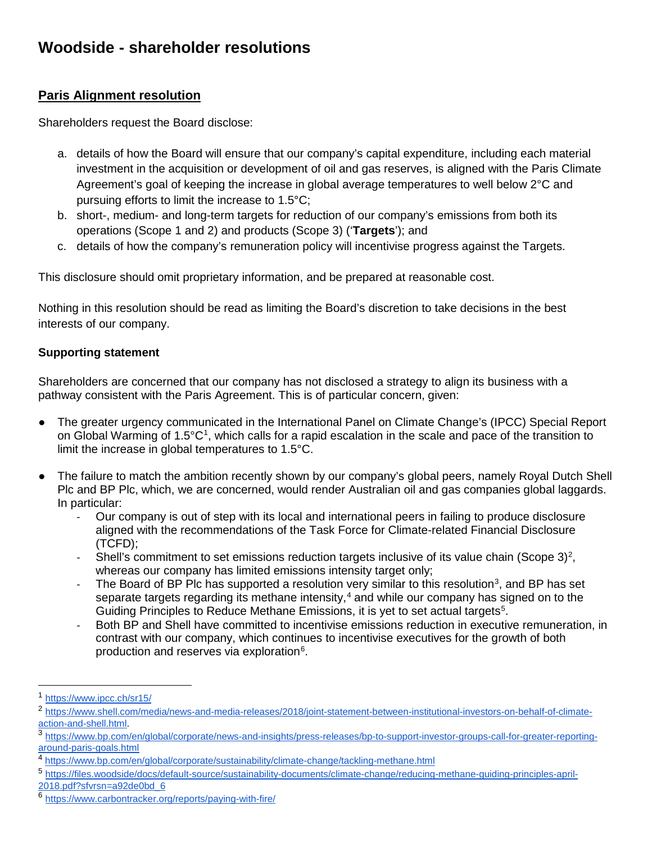# **Woodside - shareholder resolutions**

# **Paris Alignment resolution**

Shareholders request the Board disclose:

- a. details of how the Board will ensure that our company's capital expenditure, including each material investment in the acquisition or development of oil and gas reserves, is aligned with the Paris Climate Agreement's goal of keeping the increase in global average temperatures to well below 2°C and pursuing efforts to limit the increase to 1.5°C;
- b. short-, medium- and long-term targets for reduction of our company's emissions from both its operations (Scope 1 and 2) and products (Scope 3) ('**Targets**'); and
- c. details of how the company's remuneration policy will incentivise progress against the Targets.

This disclosure should omit proprietary information, and be prepared at reasonable cost.

Nothing in this resolution should be read as limiting the Board's discretion to take decisions in the best interests of our company.

## **Supporting statement**

Shareholders are concerned that our company has not disclosed a strategy to align its business with a pathway consistent with the Paris Agreement. This is of particular concern, given:

- The greater urgency communicated in the International Panel on Climate Change's (IPCC) Special Report on Global Warming of [1](#page-0-0).5°C<sup>1</sup>, which calls for a rapid escalation in the scale and pace of the transition to limit the increase in global temperatures to 1.5°C.
- The failure to match the ambition recently shown by our company's global peers, namely Royal Dutch Shell Plc and BP Plc, which, we are concerned, would render Australian oil and gas companies global laggards. In particular:
	- Our company is out of step with its local and international peers in failing to produce disclosure aligned with the recommendations of the Task Force for Climate-related Financial Disclosure (TCFD);
	- Shell's commitment to set emissions reduction targets inclusive of its value chain (Scope 3)<sup>[2](#page-0-1)</sup>, whereas our company has limited emissions intensity target only;
	- The Board of BP PIc has supported a resolution very similar to this resolution<sup>[3](#page-0-2)</sup>, and BP has set separate targets regarding its methane intensity, $4$  and while our company has signed on to the Guiding Principles to Reduce Methane Emissions, it is yet to set actual targets<sup>[5](#page-0-4)</sup>.
	- Both BP and Shell have committed to incentivise emissions reduction in executive remuneration, in contrast with our company, which continues to incentivise executives for the growth of both production and reserves via exploration<sup>[6](#page-0-5)</sup>.

<span id="page-0-0"></span> <sup>1</sup> <https://www.ipcc.ch/sr15/>

<span id="page-0-1"></span><sup>2</sup> [https://www.shell.com/media/news-and-media-releases/2018/joint-statement-between-institutional-investors-on-behalf-of-climate-](https://www.shell.com/media/news-and-media-releases/2018/joint-statement-between-institutional-investors-on-behalf-of-climate-action-and-shell.html)

<span id="page-0-2"></span>[action-and-shell.html.](https://www.shell.com/media/news-and-media-releases/2018/joint-statement-between-institutional-investors-on-behalf-of-climate-action-and-shell.html)<br><sup>3</sup> https://<u>www.bp.com/en/global/corporate/news-and-insights/press-releases/bp-to-support-investor-groups-call-for-greater-reporting-</u> [around-paris-goals.html](https://www.bp.com/en/global/corporate/news-and-insights/press-releases/bp-to-support-investor-groups-call-for-greater-reporting-around-paris-goals.html)

<span id="page-0-3"></span><sup>4</sup> <https://www.bp.com/en/global/corporate/sustainability/climate-change/tackling-methane.html>

<span id="page-0-4"></span><sup>5</sup> [https://files.woodside/docs/default-source/sustainability-documents/climate-change/reducing-methane-guiding-principles-april-](https://files.woodside/docs/default-source/sustainability-documents/climate-change/reducing-methane-guiding-principles-april-2018.pdf?sfvrsn=a92de0bd_6)[2018.pdf?sfvrsn=a92de0bd\\_6](https://files.woodside/docs/default-source/sustainability-documents/climate-change/reducing-methane-guiding-principles-april-2018.pdf?sfvrsn=a92de0bd_6)

<span id="page-0-5"></span><sup>6</sup> <https://www.carbontracker.org/reports/paying-with-fire/>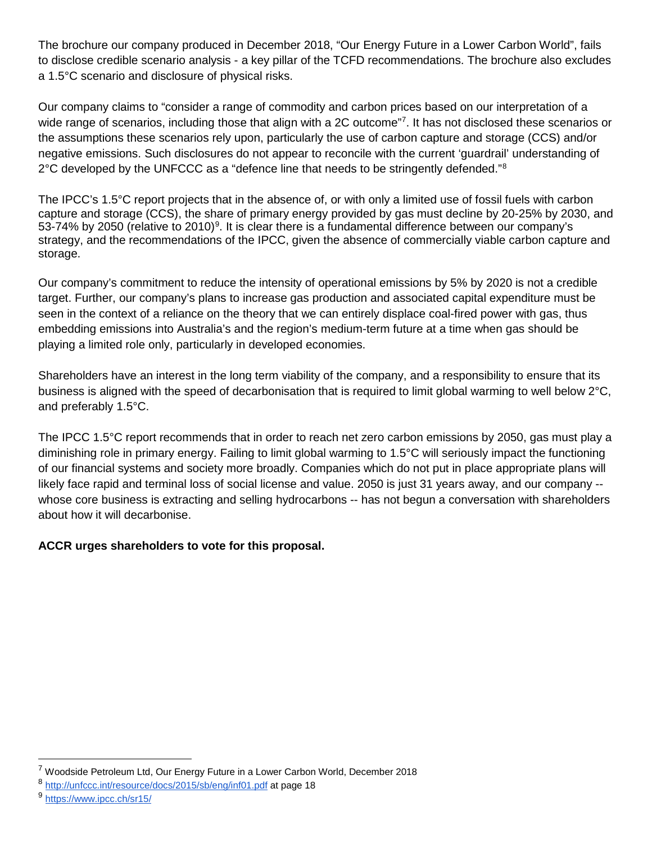The brochure our company produced in December 2018, "Our Energy Future in a Lower Carbon World", fails to disclose credible scenario analysis - a key pillar of the TCFD recommendations. The brochure also excludes a 1.5°C scenario and disclosure of physical risks.

Our company claims to "consider a range of commodity and carbon prices based on our interpretation of a wide range of scenarios, including those that align with a 2C outcome"[7](#page-1-0). It has not disclosed these scenarios or the assumptions these scenarios rely upon, particularly the use of carbon capture and storage (CCS) and/or negative emissions. Such disclosures do not appear to reconcile with the current 'guardrail' understanding of  $2^{\circ}$ C developed by the UNFCCC as a "defence line that needs to be stringently defended."<sup>[8](#page-1-1)</sup>

The IPCC's 1.5°C report projects that in the absence of, or with only a limited use of fossil fuels with carbon capture and storage (CCS), the share of primary energy provided by gas must decline by 20-25% by 2030, and 53-74% by 2050 (relative to 2010)<sup>[9](#page-1-2)</sup>. It is clear there is a fundamental difference between our company's strategy, and the recommendations of the IPCC, given the absence of commercially viable carbon capture and storage.

Our company's commitment to reduce the intensity of operational emissions by 5% by 2020 is not a credible target. Further, our company's plans to increase gas production and associated capital expenditure must be seen in the context of a reliance on the theory that we can entirely displace coal-fired power with gas, thus embedding emissions into Australia's and the region's medium-term future at a time when gas should be playing a limited role only, particularly in developed economies.

Shareholders have an interest in the long term viability of the company, and a responsibility to ensure that its business is aligned with the speed of decarbonisation that is required to limit global warming to well below 2°C, and preferably 1.5°C.

The IPCC 1.5°C report recommends that in order to reach net zero carbon emissions by 2050, gas must play a diminishing role in primary energy. Failing to limit global warming to 1.5°C will seriously impact the functioning of our financial systems and society more broadly. Companies which do not put in place appropriate plans will likely face rapid and terminal loss of social license and value. 2050 is just 31 years away, and our company - whose core business is extracting and selling hydrocarbons -- has not begun a conversation with shareholders about how it will decarbonise.

## **ACCR urges shareholders to vote for this proposal.**

<span id="page-1-0"></span><sup>&</sup>lt;sup>7</sup> Woodside Petroleum Ltd, Our Energy Future in a Lower Carbon World, December 2018

<span id="page-1-1"></span><sup>8</sup> <http://unfccc.int/resource/docs/2015/sb/eng/inf01.pdf> at page 18

<span id="page-1-2"></span><sup>9</sup> <https://www.ipcc.ch/sr15/>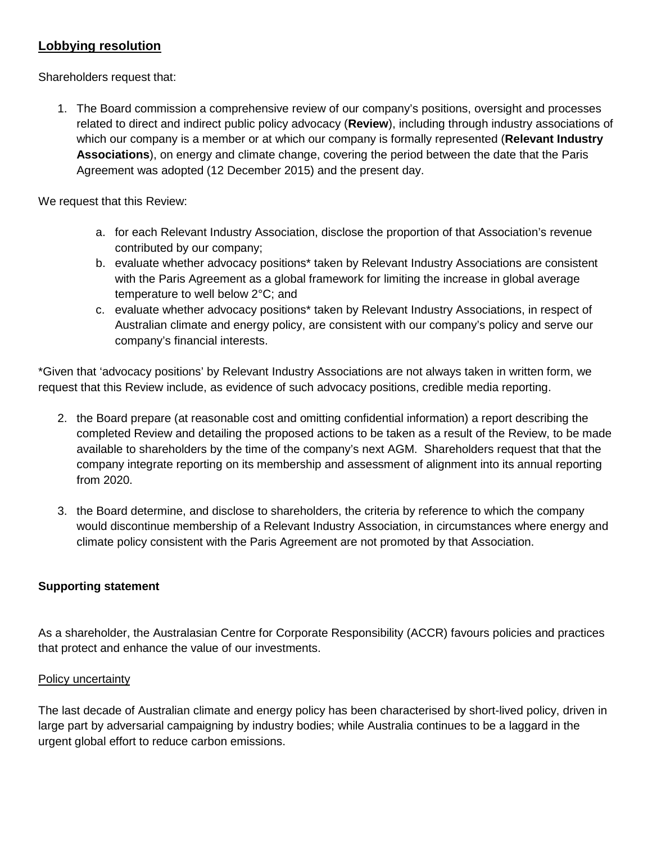## **Lobbying resolution**

Shareholders request that:

1. The Board commission a comprehensive review of our company's positions, oversight and processes related to direct and indirect public policy advocacy (**Review**), including through industry associations of which our company is a member or at which our company is formally represented (**Relevant Industry Associations**), on energy and climate change, covering the period between the date that the Paris Agreement was adopted (12 December 2015) and the present day.

We request that this Review:

- a. for each Relevant Industry Association, disclose the proportion of that Association's revenue contributed by our company;
- b. evaluate whether advocacy positions\* taken by Relevant Industry Associations are consistent with the Paris Agreement as a global framework for limiting the increase in global average temperature to well below 2°C; and
- c. evaluate whether advocacy positions\* taken by Relevant Industry Associations, in respect of Australian climate and energy policy, are consistent with our company's policy and serve our company's financial interests.

\*Given that 'advocacy positions' by Relevant Industry Associations are not always taken in written form, we request that this Review include, as evidence of such advocacy positions, credible media reporting.

- 2. the Board prepare (at reasonable cost and omitting confidential information) a report describing the completed Review and detailing the proposed actions to be taken as a result of the Review, to be made available to shareholders by the time of the company's next AGM. Shareholders request that that the company integrate reporting on its membership and assessment of alignment into its annual reporting from 2020.
- 3. the Board determine, and disclose to shareholders, the criteria by reference to which the company would discontinue membership of a Relevant Industry Association, in circumstances where energy and climate policy consistent with the Paris Agreement are not promoted by that Association.

## **Supporting statement**

As a shareholder, the Australasian Centre for Corporate Responsibility (ACCR) favours policies and practices that protect and enhance the value of our investments.

#### Policy uncertainty

The last decade of Australian climate and energy policy has been characterised by short-lived policy, driven in large part by adversarial campaigning by industry bodies; while Australia continues to be a laggard in the urgent global effort to reduce carbon emissions.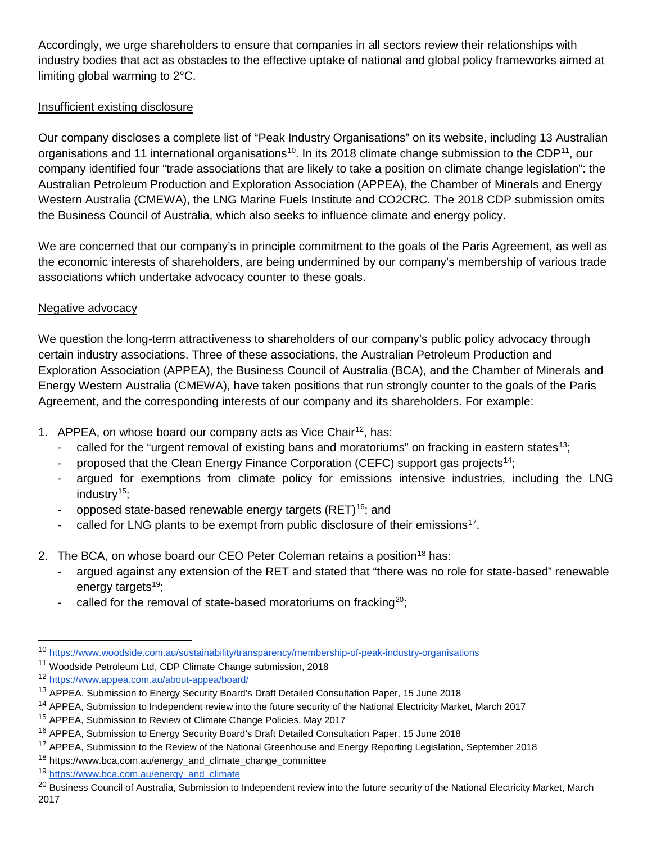Accordingly, we urge shareholders to ensure that companies in all sectors review their relationships with industry bodies that act as obstacles to the effective uptake of national and global policy frameworks aimed at limiting global warming to 2°C.

### Insufficient existing disclosure

Our company discloses a complete list of "Peak Industry Organisations" on its website, including 13 Australian organisations and 11 international organisations<sup>10</sup>. In its 2018 climate change submission to the CDP<sup>11</sup>, our company identified four "trade associations that are likely to take a position on climate change legislation": the Australian Petroleum Production and Exploration Association (APPEA), the Chamber of Minerals and Energy Western Australia (CMEWA), the LNG Marine Fuels Institute and CO2CRC. The 2018 CDP submission omits the Business Council of Australia, which also seeks to influence climate and energy policy.

We are concerned that our company's in principle commitment to the goals of the Paris Agreement, as well as the economic interests of shareholders, are being undermined by our company's membership of various trade associations which undertake advocacy counter to these goals.

#### Negative advocacy

We question the long-term attractiveness to shareholders of our company's public policy advocacy through certain industry associations. Three of these associations, the Australian Petroleum Production and Exploration Association (APPEA), the Business Council of Australia (BCA), and the Chamber of Minerals and Energy Western Australia (CMEWA), have taken positions that run strongly counter to the goals of the Paris Agreement, and the corresponding interests of our company and its shareholders. For example:

- 1. APPEA, on whose board our company acts as Vice Chair<sup>12</sup>, has:
	- called for the "urgent removal of existing bans and moratoriums" on fracking in eastern states<sup>13</sup>;
	- proposed that the Clean Energy Finance Corporation (CEFC) support gas projects[14;](#page-3-4)
	- argued for exemptions from climate policy for emissions intensive industries, including the LNG industry $15$ ;
	- opposed state-based renewable energy targets (RET)<sup>[16](#page-3-6)</sup>; and
	- called for LNG plants to be exempt from public disclosure of their emissions<sup>17</sup>.
- 2. The BCA, on whose board our CEO Peter Coleman retains a position<sup>[18](#page-3-8)</sup> has:
	- argued against any extension of the RET and stated that "there was no role for state-based" renewable energy targets $19$ ;
	- called for the removal of state-based moratoriums on fracking<sup>[20](#page-3-10)</sup>;

<span id="page-3-1"></span><sup>11</sup> Woodside Petroleum Ltd, CDP Climate Change submission, 2018

<span id="page-3-0"></span> <sup>10</sup> <https://www.woodside.com.au/sustainability/transparency/membership-of-peak-industry-organisations>

<span id="page-3-2"></span><sup>12</sup> <https://www.appea.com.au/about-appea/board/>

<span id="page-3-3"></span><sup>&</sup>lt;sup>13</sup> APPEA, Submission to Energy Security Board's Draft Detailed Consultation Paper, 15 June 2018

<span id="page-3-4"></span><sup>&</sup>lt;sup>14</sup> APPEA, Submission to Independent review into the future security of the National Electricity Market, March 2017

<span id="page-3-5"></span><sup>&</sup>lt;sup>15</sup> APPEA, Submission to Review of Climate Change Policies, May 2017

<span id="page-3-6"></span><sup>&</sup>lt;sup>16</sup> APPEA, Submission to Energy Security Board's Draft Detailed Consultation Paper, 15 June 2018

<span id="page-3-7"></span><sup>&</sup>lt;sup>17</sup> APPEA, Submission to the Review of the National Greenhouse and Energy Reporting Legislation, September 2018

<span id="page-3-8"></span><sup>18</sup> [https://www.bca.com.au/energy\\_and\\_climate\\_change\\_committee](https://www.bca.com.au/energy_and_climate_change_committee)

<span id="page-3-9"></span><sup>19</sup> [https://www.bca.com.au/energy\\_and\\_climate](https://www.bca.com.au/energy_and_climate)

<span id="page-3-10"></span><sup>&</sup>lt;sup>20</sup> Business Council of Australia, Submission to Independent review into the future security of the National Electricity Market, March 2017